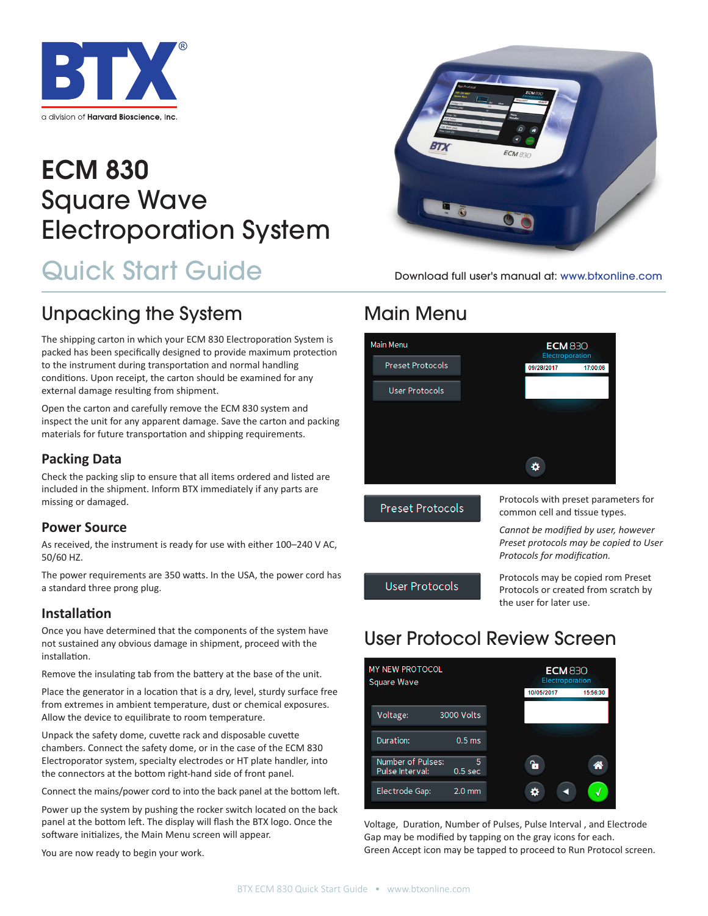

# ECM 830 Square Wave Electroporation System

# Quick Start Guide

# Unpacking the System

The shipping carton in which your ECM 830 Electroporation System is packed has been specifically designed to provide maximum protection to the instrument during transportation and normal handling conditions. Upon receipt, the carton should be examined for any external damage resulting from shipment.

Open the carton and carefully remove the ECM 830 system and inspect the unit for any apparent damage. Save the carton and packing materials for future transportation and shipping requirements.

### **Packing Data**

Check the packing slip to ensure that all items ordered and listed are included in the shipment. Inform BTX immediately if any parts are missing or damaged.

### **Power Source**

As received, the instrument is ready for use with either 100–240 V AC, 50/60 HZ.

The power requirements are 350 watts. In the USA, the power cord has a standard three prong plug.

#### **Installation**

Once you have determined that the components of the system have not sustained any obvious damage in shipment, proceed with the installation.

Remove the insulating tab from the battery at the base of the unit.

Place the generator in a location that is a dry, level, sturdy surface free from extremes in ambient temperature, dust or chemical exposures. Allow the device to equilibrate to room temperature.

Unpack the safety dome, cuvette rack and disposable cuvette chambers. Connect the safety dome, or in the case of the ECM 830 Electroporator system, specialty electrodes or HT plate handler, into the connectors at the bottom right-hand side of front panel.

Connect the mains/power cord to into the back panel at the bottom left.

Power up the system by pushing the rocker switch located on the back panel at the bottom left. The display will flash the BTX logo. Once the software initializes, the Main Menu screen will appear.



Download full user's manual at: www.btxonline.com

# Main Menu



**Preset Protocols** 

Protocols with preset parameters for common cell and tissue types.

*Cannot be modified by user, however Preset protocols may be copied to User Protocols for modification.*

**User Protocols** 

Protocols may be copied rom Preset Protocols or created from scratch by the user for later use.

# User Protocol Review Screen

| <b>MY NEW PROTOCOL</b><br>Square Wave |                         |   | <b>ECM 830</b><br>Electroporation |          |
|---------------------------------------|-------------------------|---|-----------------------------------|----------|
|                                       |                         |   | 10/05/2017                        | 15:56:30 |
| Voltage:                              | 3000 Volts              |   |                                   |          |
| Duration:                             | 0.5 <sub>ms</sub>       |   |                                   |          |
| Number of Pulses:<br>Pulse Interval:  | 5<br>0.5 <sub>sec</sub> | ъ |                                   | Ж        |
| Electrode Gap:                        | $2.0 \,\mathrm{mm}$     |   |                                   |          |

Voltage, Duration, Number of Pulses, Pulse Interval , and Electrode Gap may be modified by tapping on the gray icons for each. Green Accept icon may be tapped to proceed to Run Protocol screen.

You are now ready to begin your work.